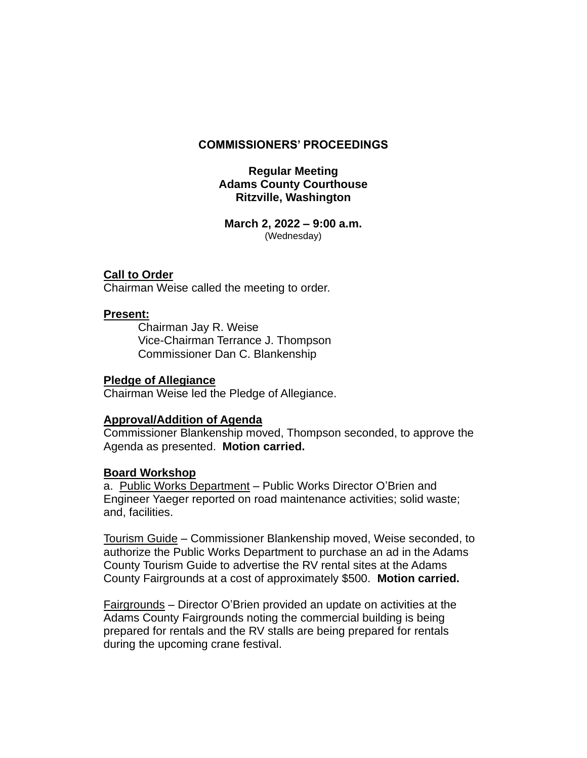### **COMMISSIONERS' PROCEEDINGS**

# **Regular Meeting Adams County Courthouse Ritzville, Washington**

**March 2, 2022 – 9:00 a.m.** (Wednesday)

### **Call to Order**

Chairman Weise called the meeting to order.

### **Present:**

Chairman Jay R. Weise Vice-Chairman Terrance J. Thompson Commissioner Dan C. Blankenship

#### **Pledge of Allegiance**

Chairman Weise led the Pledge of Allegiance.

### **Approval/Addition of Agenda**

Commissioner Blankenship moved, Thompson seconded, to approve the Agenda as presented. **Motion carried.**

#### **Board Workshop**

a. Public Works Department – Public Works Director O'Brien and Engineer Yaeger reported on road maintenance activities; solid waste; and, facilities.

Tourism Guide – Commissioner Blankenship moved, Weise seconded, to authorize the Public Works Department to purchase an ad in the Adams County Tourism Guide to advertise the RV rental sites at the Adams County Fairgrounds at a cost of approximately \$500. **Motion carried.**

Fairgrounds – Director O'Brien provided an update on activities at the Adams County Fairgrounds noting the commercial building is being prepared for rentals and the RV stalls are being prepared for rentals during the upcoming crane festival.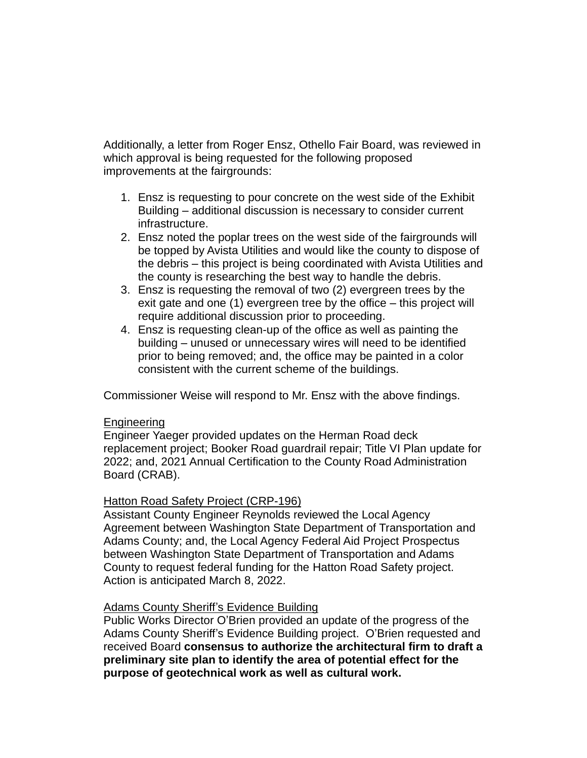Additionally, a letter from Roger Ensz, Othello Fair Board, was reviewed in which approval is being requested for the following proposed improvements at the fairgrounds:

- 1. Ensz is requesting to pour concrete on the west side of the Exhibit Building – additional discussion is necessary to consider current infrastructure.
- 2. Ensz noted the poplar trees on the west side of the fairgrounds will be topped by Avista Utilities and would like the county to dispose of the debris – this project is being coordinated with Avista Utilities and the county is researching the best way to handle the debris.
- 3. Ensz is requesting the removal of two (2) evergreen trees by the exit gate and one (1) evergreen tree by the office – this project will require additional discussion prior to proceeding.
- 4. Ensz is requesting clean-up of the office as well as painting the building – unused or unnecessary wires will need to be identified prior to being removed; and, the office may be painted in a color consistent with the current scheme of the buildings.

Commissioner Weise will respond to Mr. Ensz with the above findings.

### Engineering

Engineer Yaeger provided updates on the Herman Road deck replacement project; Booker Road guardrail repair; Title VI Plan update for 2022; and, 2021 Annual Certification to the County Road Administration Board (CRAB).

### Hatton Road Safety Project (CRP-196)

Assistant County Engineer Reynolds reviewed the Local Agency Agreement between Washington State Department of Transportation and Adams County; and, the Local Agency Federal Aid Project Prospectus between Washington State Department of Transportation and Adams County to request federal funding for the Hatton Road Safety project. Action is anticipated March 8, 2022.

# Adams County Sheriff's Evidence Building

Public Works Director O'Brien provided an update of the progress of the Adams County Sheriff's Evidence Building project. O'Brien requested and received Board **consensus to authorize the architectural firm to draft a preliminary site plan to identify the area of potential effect for the purpose of geotechnical work as well as cultural work.**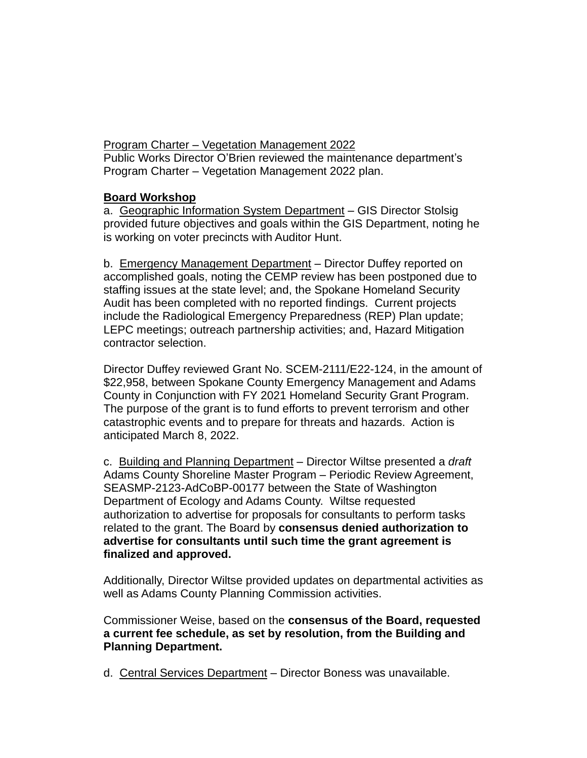Program Charter – Vegetation Management 2022 Public Works Director O'Brien reviewed the maintenance department's Program Charter – Vegetation Management 2022 plan.

# **Board Workshop**

a. Geographic Information System Department – GIS Director Stolsig provided future objectives and goals within the GIS Department, noting he is working on voter precincts with Auditor Hunt.

b. Emergency Management Department - Director Duffey reported on accomplished goals, noting the CEMP review has been postponed due to staffing issues at the state level; and, the Spokane Homeland Security Audit has been completed with no reported findings. Current projects include the Radiological Emergency Preparedness (REP) Plan update; LEPC meetings; outreach partnership activities; and, Hazard Mitigation contractor selection.

Director Duffey reviewed Grant No. SCEM-2111/E22-124, in the amount of \$22,958, between Spokane County Emergency Management and Adams County in Conjunction with FY 2021 Homeland Security Grant Program. The purpose of the grant is to fund efforts to prevent terrorism and other catastrophic events and to prepare for threats and hazards. Action is anticipated March 8, 2022.

c. Building and Planning Department – Director Wiltse presented a *draft* Adams County Shoreline Master Program – Periodic Review Agreement, SEASMP-2123-AdCoBP-00177 between the State of Washington Department of Ecology and Adams County. Wiltse requested authorization to advertise for proposals for consultants to perform tasks related to the grant. The Board by **consensus denied authorization to advertise for consultants until such time the grant agreement is finalized and approved.**

Additionally, Director Wiltse provided updates on departmental activities as well as Adams County Planning Commission activities.

Commissioner Weise, based on the **consensus of the Board, requested a current fee schedule, as set by resolution, from the Building and Planning Department.**

d. Central Services Department – Director Boness was unavailable.